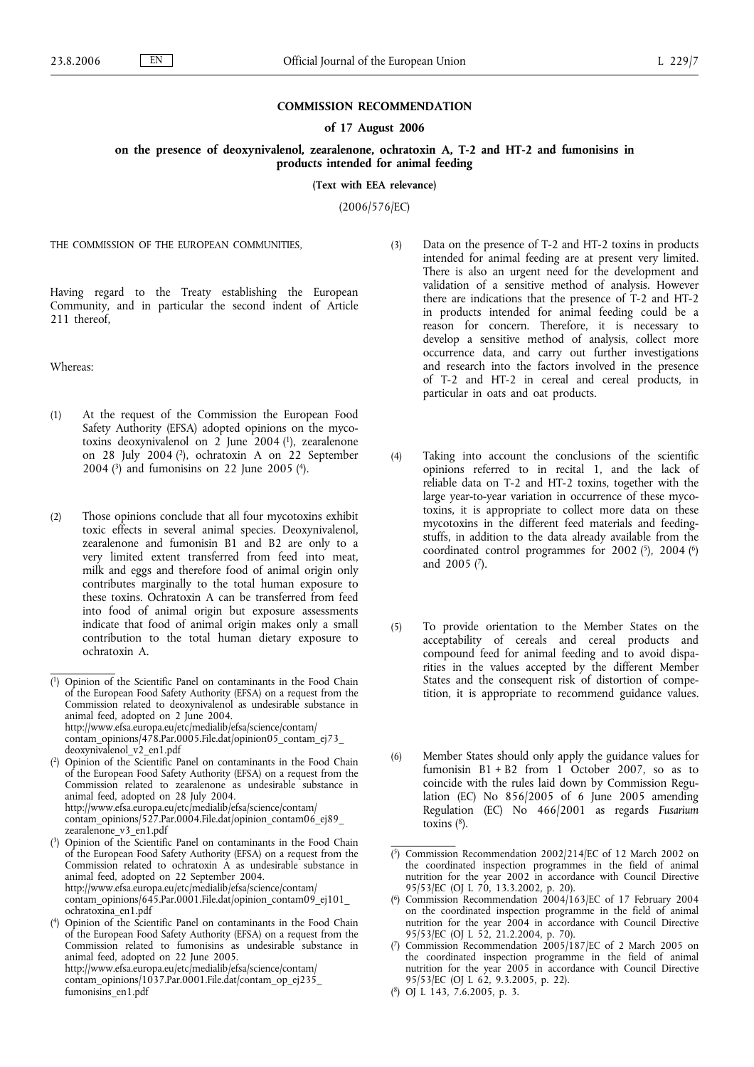### **COMMISSION RECOMMENDATION**

#### **of 17 August 2006**

**on the presence of deoxynivalenol, zearalenone, ochratoxin A, T-2 and HT-2 and fumonisins in products intended for animal feeding**

**(Text with EEA relevance)**

(2006/576/EC)

THE COMMISSION OF THE EUROPEAN COMMUNITIES,

Having regard to the Treaty establishing the European Community, and in particular the second indent of Article 211 thereof,

Whereas:

- (1) At the request of the Commission the European Food Safety Authority (EFSA) adopted opinions on the mycotoxins deoxynivalenol on 2 June 2004 (1), zearalenone on 28 July 2004 (2), ochratoxin A on 22 September 2004 (3) and fumonisins on 22 June 2005 (4).
- (2) Those opinions conclude that all four mycotoxins exhibit toxic effects in several animal species. Deoxynivalenol, zearalenone and fumonisin B1 and B2 are only to a very limited extent transferred from feed into meat, milk and eggs and therefore food of animal origin only contributes marginally to the total human exposure to these toxins. Ochratoxin A can be transferred from feed into food of animal origin but exposure assessments indicate that food of animal origin makes only a small contribution to the total human dietary exposure to ochratoxin A.
- (3) Data on the presence of T-2 and HT-2 toxins in products intended for animal feeding are at present very limited. There is also an urgent need for the development and validation of a sensitive method of analysis. However there are indications that the presence of T-2 and HT-2 in products intended for animal feeding could be a reason for concern. Therefore, it is necessary to develop a sensitive method of analysis, collect more occurrence data, and carry out further investigations and research into the factors involved in the presence of T-2 and HT-2 in cereal and cereal products, in particular in oats and oat products.
- (4) Taking into account the conclusions of the scientific opinions referred to in recital 1, and the lack of reliable data on T-2 and HT-2 toxins, together with the large year-to-year variation in occurrence of these mycotoxins, it is appropriate to collect more data on these mycotoxins in the different feed materials and feedingstuffs, in addition to the data already available from the coordinated control programmes for 2002  $(5)$ , 2004  $(6)$ and 2005 (7).
- (5) To provide orientation to the Member States on the acceptability of cereals and cereal products and compound feed for animal feeding and to avoid disparities in the values accepted by the different Member States and the consequent risk of distortion of competition, it is appropriate to recommend guidance values.
- (6) Member States should only apply the guidance values for fumonisin  $B1 + B2$  from 1 October 2007, so as to coincide with the rules laid down by Commission Regulation (EC) No 856/2005 of 6 June 2005 amending Regulation (EC) No 466/2001 as regards *Fusarium* toxins  $(^{8})$ .

( 8) OJ L 143, 7.6.2005, p. 3.

<sup>(</sup> 1) Opinion of the Scientific Panel on contaminants in the Food Chain of the European Food Safety Authority (EFSA) on a request from the Commission related to deoxynivalenol as undesirable substance in animal feed, adopted on 2 June 2004. http://www.efsa.europa.eu/etc/medialib/efsa/science/contam/ contam\_opinions/478.Par.0005.File.dat/opinion05\_contam\_ej73\_ deoxynivalenol\_v2\_en1.pdf

<sup>(</sup> 2) Opinion of the Scientific Panel on contaminants in the Food Chain of the European Food Safety Authority (EFSA) on a request from the Commission related to zearalenone as undesirable substance in animal feed, adopted on 28 July 2004. http://www.efsa.europa.eu/etc/medialib/efsa/science/contam/ contam\_opinions/527.Par.0004.File.dat/opinion\_contam06\_ej89\_ zearalenone\_v3\_en1.pdf

<sup>(</sup> 3) Opinion of the Scientific Panel on contaminants in the Food Chain of the European Food Safety Authority (EFSA) on a request from the Commission related to ochratoxin A as undesirable substance in animal feed, adopted on 22 September 2004. http://www.efsa.europa.eu/etc/medialib/efsa/science/contam/ contam\_opinions/645.Par.0001.File.dat/opinion\_contam09\_ej101\_ ochratoxina\_en1.pdf

 $(4)$ 4) Opinion of the Scientific Panel on contaminants in the Food Chain of the European Food Safety Authority (EFSA) on a request from the Commission related to fumonisins as undesirable substance in animal feed, adopted on 22 June 2005. http://www.efsa.europa.eu/etc/medialib/efsa/science/contam/ contam\_opinions/1037.Par.0001.File.dat/contam\_op\_ej235\_ fumonisins\_en1.pdf

<sup>(</sup> 5) Commission Recommendation 2002/214/EC of 12 March 2002 on the coordinated inspection programmes in the field of animal nutrition for the year 2002 in accordance with Council Directive 95/53/EC (OJ L 70, 13.3.2002, p. 20).

<sup>(</sup> 6) Commission Recommendation 2004/163/EC of 17 February 2004 on the coordinated inspection programme in the field of animal nutrition for the year 2004 in accordance with Council Directive 95/53/EC (OJ L 52, 21.2.2004, p. 70).

<sup>(</sup> 7) Commission Recommendation 2005/187/EC of 2 March 2005 on the coordinated inspection programme in the field of animal nutrition for the year 2005 in accordance with Council Directive 95/53/EC (OJ L 62, 9.3.2005, p. 22).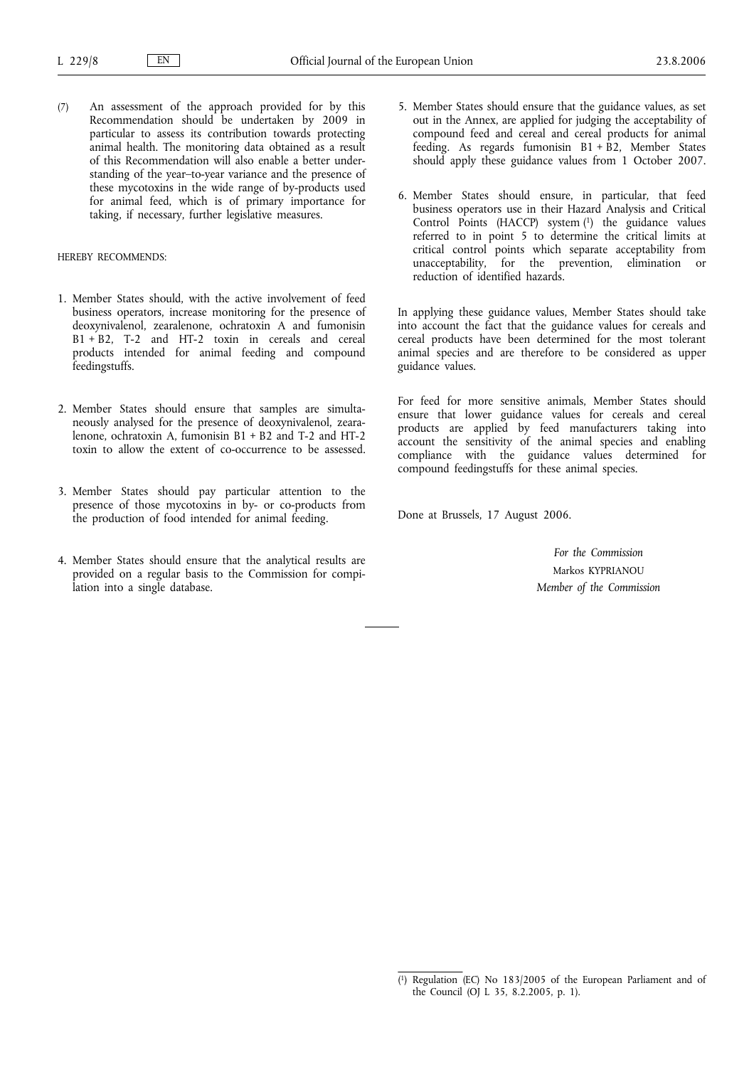(7) An assessment of the approach provided for by this Recommendation should be undertaken by 2009 in particular to assess its contribution towards protecting animal health. The monitoring data obtained as a result of this Recommendation will also enable a better understanding of the year–to-year variance and the presence of these mycotoxins in the wide range of by-products used for animal feed, which is of primary importance for taking, if necessary, further legislative measures.

# HEREBY RECOMMENDS:

- 1. Member States should, with the active involvement of feed business operators, increase monitoring for the presence of deoxynivalenol, zearalenone, ochratoxin A and fumonisin B1 + B2, T-2 and HT-2 toxin in cereals and cereal products intended for animal feeding and compound feedingstuffs.
- 2. Member States should ensure that samples are simultaneously analysed for the presence of deoxynivalenol, zearalenone, ochratoxin A, fumonisin B1 + B2 and T-2 and HT-2 toxin to allow the extent of co-occurrence to be assessed.
- 3. Member States should pay particular attention to the presence of those mycotoxins in by- or co-products from the production of food intended for animal feeding.
- 4. Member States should ensure that the analytical results are provided on a regular basis to the Commission for compilation into a single database.
- 5. Member States should ensure that the guidance values, as set out in the Annex, are applied for judging the acceptability of compound feed and cereal and cereal products for animal feeding. As regards fumonisin  $B1 + B2$ , Member States should apply these guidance values from 1 October 2007.
- 6. Member States should ensure, in particular, that feed business operators use in their Hazard Analysis and Critical Control Points (HACCP) system (1) the guidance values referred to in point 5 to determine the critical limits at critical control points which separate acceptability from unacceptability, for the prevention, elimination or reduction of identified hazards.

In applying these guidance values, Member States should take into account the fact that the guidance values for cereals and cereal products have been determined for the most tolerant animal species and are therefore to be considered as upper guidance values.

For feed for more sensitive animals, Member States should ensure that lower guidance values for cereals and cereal products are applied by feed manufacturers taking into account the sensitivity of the animal species and enabling compliance with the guidance values determined for compound feedingstuffs for these animal species.

Done at Brussels, 17 August 2006.

*For the Commission* Markos KYPRIANOU *Member of the Commission*

<sup>(</sup> 1) Regulation (EC) No 183/2005 of the European Parliament and of the Council (OJ L 35, 8.2.2005, p. 1).